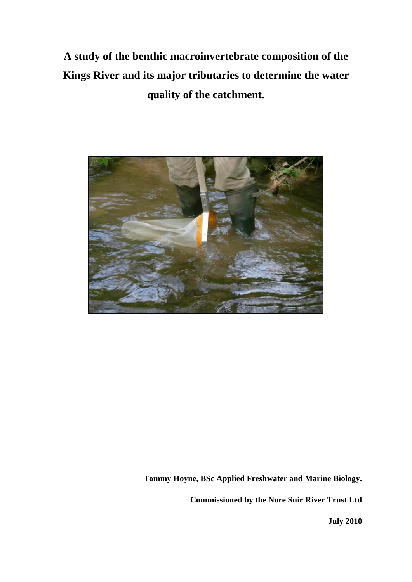**A study of the benthic macroinvertebrate composition of the Kings River and its major tributaries to determine the water quality of the catchment.**



**Tommy Hoyne, BSc Applied Freshwater and Marine Biology.** 

**Commissioned by the Nore Suir River Trust Ltd**

**July 2010**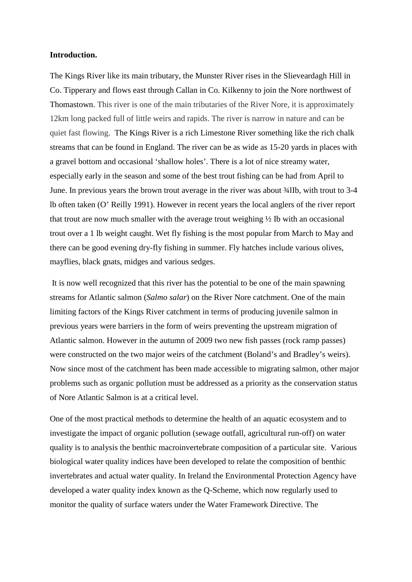### **Introduction.**

The Kings River like its main tributary, the Munster River rises in the Slieveardagh Hill in Co. Tipperary and flows east through Callan in Co. Kilkenny to join the Nore northwest of Thomastown. This river is one of the main tributaries of the River Nore, it is approximately 12km long packed full of little weirs and rapids. The river is narrow in nature and can be quiet fast flowing. The Kings River is a rich Limestone River something like the rich chalk streams that can be found in England. The river can be as wide as 15-20 yards in places with a gravel bottom and occasional 'shallow holes'. There is a lot of nice streamy water, especially early in the season and some of the best trout fishing can be had from April to June. In previous years the brown trout average in the river was about ¾lIb, with trout to 3-4 lb often taken (O' Reilly 1991). However in recent years the local anglers of the river report that trout are now much smaller with the average trout weighing ½ Ib with an occasional trout over a 1 lb weight caught. Wet fly fishing is the most popular from March to May and there can be good evening dry-fly fishing in summer. Fly hatches include various olives, mayflies, black gnats, midges and various sedges.

It is now well recognized that this river has the potential to be one of the main spawning streams for Atlantic salmon (*Salmo salar*) on the River Nore catchment. One of the main limiting factors of the Kings River catchment in terms of producing juvenile salmon in previous years were barriers in the form of weirs preventing the upstream migration of Atlantic salmon. However in the autumn of 2009 two new fish passes (rock ramp passes) were constructed on the two major weirs of the catchment (Boland's and Bradley's weirs). Now since most of the catchment has been made accessible to migrating salmon, other major problems such as organic pollution must be addressed as a priority as the conservation status of Nore Atlantic Salmon is at a critical level.

One of the most practical methods to determine the health of an aquatic ecosystem and to investigate the impact of organic pollution (sewage outfall, agricultural run-off) on water quality is to analysis the benthic macroinvertebrate composition of a particular site. Various biological water quality indices have been developed to relate the composition of benthic invertebrates and actual water quality. In Ireland the Environmental Protection Agency have developed a water quality index known as the Q-Scheme, which now regularly used to monitor the quality of surface waters under the Water Framework Directive. The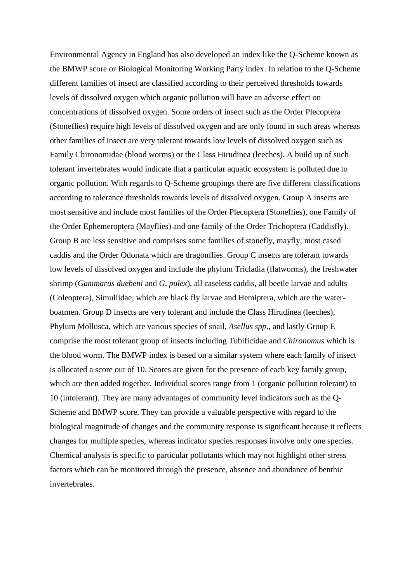Environmental Agency in England has also developed an index like the Q-Scheme known as the BMWP score or Biological Monitoring Working Party index. In relation to the Q-Scheme different families of insect are classified according to their perceived thresholds towards levels of dissolved oxygen which organic pollution will have an adverse effect on concentrations of dissolved oxygen. Some orders of insect such as the Order Plecoptera (Stoneflies) require high levels of dissolved oxygen and are only found in such areas whereas other families of insect are very tolerant towards low levels of dissolved oxygen such as Family Chironomidae (blood worms) or the Class Hirudinea (leeches). A build up of such tolerant invertebrates would indicate that a particular aquatic ecosystem is polluted due to organic pollution. With regards to Q-Scheme groupings there are five different classifications according to tolerance thresholds towards levels of dissolved oxygen. Group A insects are most sensitive and include most families of the Order Plecoptera (Stoneflies), one Family of the Order Ephemeroptera (Mayflies) and one family of the Order Trichoptera (Caddisfly). Group B are less sensitive and comprises some families of stonefly, mayfly, most cased caddis and the Order Odonata which are dragonflies. Group C insects are tolerant towards low levels of dissolved oxygen and include the phylum Tricladia (flatworms), the freshwater shrimp (*Gammarus duebeni* and *G*. *pulex*), all caseless caddis, all beetle larvae and adults (Coleoptera), Simuliidae, which are black fly larvae and Hemiptera, which are the waterboatmen. Group D insects are very tolerant and include the Class Hirudinea (leeches), Phylum Mollusca, which are various species of snail, *Asellus spp*., and lastly Group E comprise the most tolerant group of insects including Tubificidae and *Chironomus* which is the blood worm. The BMWP index is based on a similar system where each family of insect is allocated a score out of 10. Scores are given for the presence of each key family group, which are then added together. Individual scores range from 1 (organic pollution tolerant) to 10 (intolerant). They are many advantages of community level indicators such as the Q-Scheme and BMWP score. They can provide a valuable perspective with regard to the biological magnitude of changes and the community response is significant because it reflects changes for multiple species, whereas indicator species responses involve only one species. Chemical analysis is specific to particular pollutants which may not highlight other stress factors which can be monitored through the presence, absence and abundance of benthic invertebrates.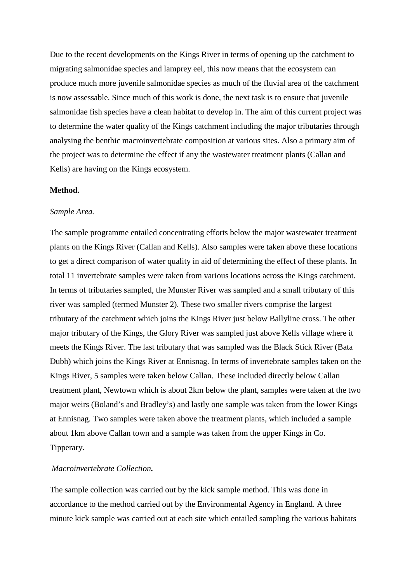Due to the recent developments on the Kings River in terms of opening up the catchment to migrating salmonidae species and lamprey eel, this now means that the ecosystem can produce much more juvenile salmonidae species as much of the fluvial area of the catchment is now assessable. Since much of this work is done, the next task is to ensure that juvenile salmonidae fish species have a clean habitat to develop in. The aim of this current project was to determine the water quality of the Kings catchment including the major tributaries through analysing the benthic macroinvertebrate composition at various sites. Also a primary aim of the project was to determine the effect if any the wastewater treatment plants (Callan and Kells) are having on the Kings ecosystem.

#### **Method.**

#### *Sample Area.*

The sample programme entailed concentrating efforts below the major wastewater treatment plants on the Kings River (Callan and Kells). Also samples were taken above these locations to get a direct comparison of water quality in aid of determining the effect of these plants. In total 11 invertebrate samples were taken from various locations across the Kings catchment. In terms of tributaries sampled, the Munster River was sampled and a small tributary of this river was sampled (termed Munster 2). These two smaller rivers comprise the largest tributary of the catchment which joins the Kings River just below Ballyline cross. The other major tributary of the Kings, the Glory River was sampled just above Kells village where it meets the Kings River. The last tributary that was sampled was the Black Stick River (Bata Dubh) which joins the Kings River at Ennisnag. In terms of invertebrate samples taken on the Kings River, 5 samples were taken below Callan. These included directly below Callan treatment plant, Newtown which is about 2km below the plant, samples were taken at the two major weirs (Boland's and Bradley's) and lastly one sample was taken from the lower Kings at Ennisnag. Two samples were taken above the treatment plants, which included a sample about 1km above Callan town and a sample was taken from the upper Kings in Co. Tipperary.

## *Macroinvertebrate Collection.*

The sample collection was carried out by the kick sample method. This was done in accordance to the method carried out by the Environmental Agency in England. A three minute kick sample was carried out at each site which entailed sampling the various habitats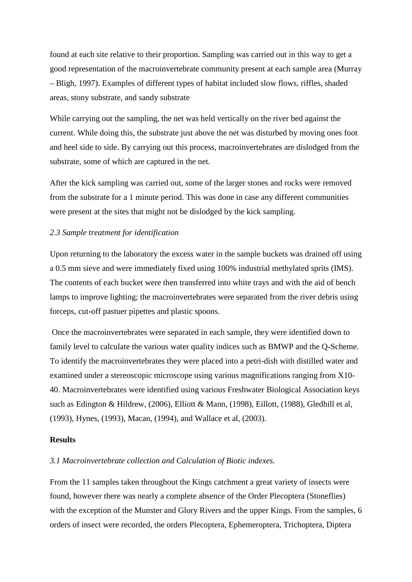found at each site relative to their proportion. Sampling was carried out in this way to get a good representation of the macroinvertebrate community present at each sample area (Murray – Bligh, 1997). Examples of different types of habitat included slow flows, riffles, shaded areas, stony substrate, and sandy substrate

While carrying out the sampling, the net was held vertically on the river bed against the current. While doing this, the substrate just above the net was disturbed by moving ones foot and heel side to side. By carrying out this process, macroinvertebrates are dislodged from the substrate, some of which are captured in the net.

After the kick sampling was carried out, some of the larger stones and rocks were removed from the substrate for a 1 minute period. This was done in case any different communities were present at the sites that might not be dislodged by the kick sampling.

## *2.3 Sample treatment for identification*

Upon returning to the laboratory the excess water in the sample buckets was drained off using a 0.5 mm sieve and were immediately fixed using 100% industrial methylated sprits (IMS). The contents of each bucket were then transferred into white trays and with the aid of bench lamps to improve lighting; the macroinvertebrates were separated from the river debris using forceps, cut-off pastuer pipettes and plastic spoons.

Once the macroinvertebrates were separated in each sample, they were identified down to family level to calculate the various water quality indices such as BMWP and the Q-Scheme. To identify the macroinvertebrates they were placed into a petri-dish with distilled water and examined under a stereoscopic microscope using various magnifications ranging from X10- 40. Macroinvertebrates were identified using various Freshwater Biological Association keys such as Edington & Hildrew, (2006), Elliott & Mann, (1998), Eillott, (1988), Gledhill et al, (1993), Hynes, (1993), Macan, (1994), and Wallace et al, (2003).

#### **Results**

### *3.1 Macroinvertebrate collection and Calculation of Biotic indexes.*

From the 11 samples taken throughout the Kings catchment a great variety of insects were found, however there was nearly a complete absence of the Order Plecoptera (Stoneflies) with the exception of the Munster and Glory Rivers and the upper Kings. From the samples, 6 orders of insect were recorded, the orders Plecoptera, Ephemeroptera, Trichoptera, Diptera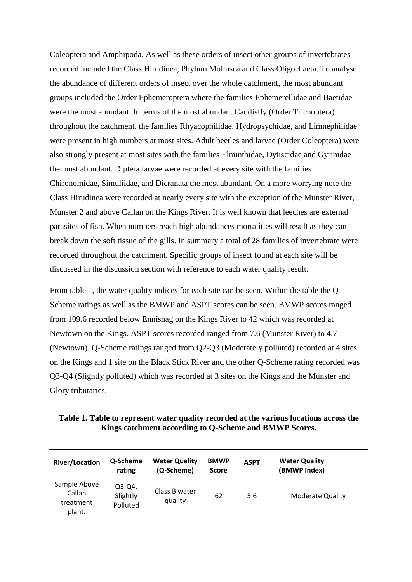Coleoptera and Amphipoda. As well as these orders of insect other groups of invertebrates recorded included the Class Hirudinea, Phylum Mollusca and Class Oligochaeta. To analyse the abundance of different orders of insect over the whole catchment, the most abundant groups included the Order Ephemeroptera where the families Ephemerellidae and Baetidae were the most abundant. In terms of the most abundant Caddisfly (Order Trichoptera) throughout the catchment, the families Rhyacophilidae, Hydropsychidae, and Limnephilidae were present in high numbers at most sites. Adult beetles and larvae (Order Coleoptera) were also strongly present at most sites with the families Elminthidae, Dytiscidae and Gyrinidae the most abundant. Diptera larvae were recorded at every site with the families Chironomidae, Simuliidae, and Dicranata the most abundant. On a more worrying note the Class Hirudinea were recorded at nearly every site with the exception of the Munster River, Munster 2 and above Callan on the Kings River. It is well known that leeches are external parasites of fish. When numbers reach high abundances mortalities will result as they can break down the soft tissue of the gills. In summary a total of 28 families of invertebrate were recorded throughout the catchment. Specific groups of insect found at each site will be discussed in the discussion section with reference to each water quality result.

From table 1, the water quality indices for each site can be seen. Within the table the Q-Scheme ratings as well as the BMWP and ASPT scores can be seen. BMWP scores ranged from 109.6 recorded below Ennisnag on the Kings River to 42 which was recorded at Newtown on the Kings. ASPT scores recorded ranged from 7.6 (Munster River) to 4.7 (Newtown). Q-Scheme ratings ranged from Q2-Q3 (Moderately polluted) recorded at 4 sites on the Kings and 1 site on the Black Stick River and the other Q-Scheme rating recorded was Q3-Q4 (Slightly polluted) which was recorded at 3 sites on the Kings and the Munster and Glory tributaries.

| Table 1. Table to represent water quality recorded at the various locations across the |  |
|----------------------------------------------------------------------------------------|--|
| <b>Kings catchment according to Q-Scheme and BMWP Scores.</b>                          |  |

| <b>River/Location</b>                         | Q-Scheme<br>rating               | <b>Water Quality</b><br>(Q-Scheme) | <b>BMWP</b><br><b>Score</b> | <b>ASPT</b> | <b>Water Quality</b><br>(BMWP Index) |
|-----------------------------------------------|----------------------------------|------------------------------------|-----------------------------|-------------|--------------------------------------|
| Sample Above<br>Callan<br>treatment<br>plant. | $Q3-Q4.$<br>Slightly<br>Polluted | Class B water<br>quality           | 62                          | 5.6         | Moderate Quality                     |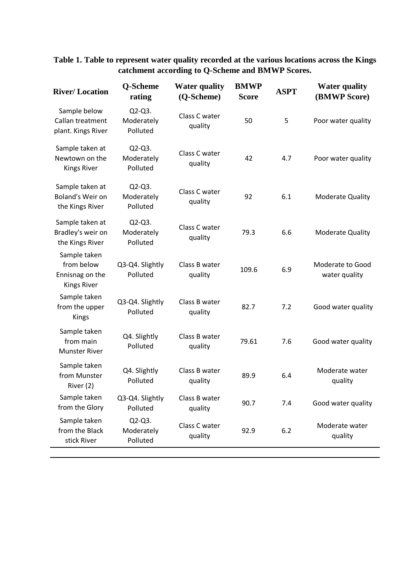## **Table 1. Table to represent water quality recorded at the various locations across the Kings catchment according to Q-Scheme and BMWP Scores.**

| <b>River/Location</b>                                               | Q-Scheme<br>rating                  | <b>Water quality</b><br>(Q-Scheme) | <b>BMWP</b><br><b>Score</b> | <b>ASPT</b> | <b>Water quality</b><br>(BMWP Score) |
|---------------------------------------------------------------------|-------------------------------------|------------------------------------|-----------------------------|-------------|--------------------------------------|
| Sample below<br>Callan treatment<br>plant. Kings River              | $Q2-Q3$ .<br>Moderately<br>Polluted | Class C water<br>quality           | 50                          | 5           | Poor water quality                   |
| Sample taken at<br>Newtown on the<br><b>Kings River</b>             | $Q2-Q3$ .<br>Moderately<br>Polluted | Class C water<br>quality           | 42                          | 4.7         | Poor water quality                   |
| Sample taken at<br>Boland's Weir on<br>the Kings River              | $Q2-Q3$ .<br>Moderately<br>Polluted | Class C water<br>quality           | 92                          | 6.1         | <b>Moderate Quality</b>              |
| Sample taken at<br>Bradley's weir on<br>the Kings River             | $Q2-Q3$ .<br>Moderately<br>Polluted | Class C water<br>quality           | 79.3                        | 6.6         | <b>Moderate Quality</b>              |
| Sample taken<br>from below<br>Ennisnag on the<br><b>Kings River</b> | Q3-Q4. Slightly<br>Polluted         | Class B water<br>quality           | 109.6                       | 6.9         | Moderate to Good<br>water quality    |
| Sample taken<br>from the upper<br>Kings                             | Q3-Q4. Slightly<br>Polluted         | Class B water<br>quality           | 82.7                        | 7.2         | Good water quality                   |
| Sample taken<br>from main<br><b>Munster River</b>                   | Q4. Slightly<br>Polluted            | Class B water<br>quality           | 79.61                       | 7.6         | Good water quality                   |
| Sample taken<br>from Munster<br>River (2)                           | Q4. Slightly<br>Polluted            | Class B water<br>quality           | 89.9                        | 6.4         | Moderate water<br>quality            |
| Sample taken<br>from the Glory                                      | Q3-Q4. Slightly<br>Polluted         | Class B water<br>quality           | 90.7                        | 7.4         | Good water quality                   |
| Sample taken<br>from the Black<br>stick River                       | $Q2-Q3.$<br>Moderately<br>Polluted  | Class C water<br>quality           | 92.9                        | 6.2         | Moderate water<br>quality            |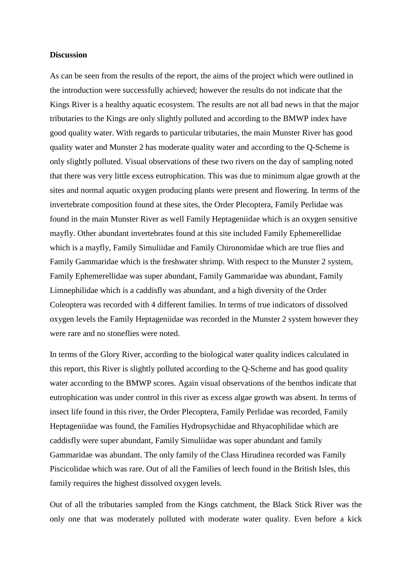#### **Discussion**

As can be seen from the results of the report, the aims of the project which were outlined in the introduction were successfully achieved; however the results do not indicate that the Kings River is a healthy aquatic ecosystem. The results are not all bad news in that the major tributaries to the Kings are only slightly polluted and according to the BMWP index have good quality water. With regards to particular tributaries, the main Munster River has good quality water and Munster 2 has moderate quality water and according to the Q-Scheme is only slightly polluted. Visual observations of these two rivers on the day of sampling noted that there was very little excess eutrophication. This was due to minimum algae growth at the sites and normal aquatic oxygen producing plants were present and flowering. In terms of the invertebrate composition found at these sites, the Order Plecoptera, Family Perlidae was found in the main Munster River as well Family Heptageniidae which is an oxygen sensitive mayfly. Other abundant invertebrates found at this site included Family Ephemerellidae which is a mayfly, Family Simuliidae and Family Chironomidae which are true flies and Family Gammaridae which is the freshwater shrimp. With respect to the Munster 2 system, Family Ephemerellidae was super abundant, Family Gammaridae was abundant, Family Limnephilidae which is a caddisfly was abundant, and a high diversity of the Order Coleoptera was recorded with 4 different families. In terms of true indicators of dissolved oxygen levels the Family Heptageniidae was recorded in the Munster 2 system however they were rare and no stoneflies were noted.

In terms of the Glory River, according to the biological water quality indices calculated in this report, this River is slightly polluted according to the Q-Scheme and has good quality water according to the BMWP scores. Again visual observations of the benthos indicate that eutrophication was under control in this river as excess algae growth was absent. In terms of insect life found in this river, the Order Plecoptera, Family Perlidae was recorded, Family Heptageniidae was found, the Families Hydropsychidae and Rhyacophilidae which are caddisfly were super abundant, Family Simuliidae was super abundant and family Gammaridae was abundant. The only family of the Class Hirudinea recorded was Family Piscicolidae which was rare. Out of all the Families of leech found in the British Isles, this family requires the highest dissolved oxygen levels.

Out of all the tributaries sampled from the Kings catchment, the Black Stick River was the only one that was moderately polluted with moderate water quality. Even before a kick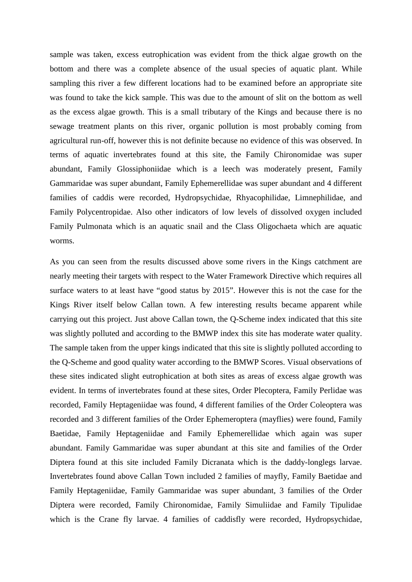sample was taken, excess eutrophication was evident from the thick algae growth on the bottom and there was a complete absence of the usual species of aquatic plant. While sampling this river a few different locations had to be examined before an appropriate site was found to take the kick sample. This was due to the amount of slit on the bottom as well as the excess algae growth. This is a small tributary of the Kings and because there is no sewage treatment plants on this river, organic pollution is most probably coming from agricultural run-off, however this is not definite because no evidence of this was observed. In terms of aquatic invertebrates found at this site, the Family Chironomidae was super abundant, Family Glossiphoniidae which is a leech was moderately present, Family Gammaridae was super abundant, Family Ephemerellidae was super abundant and 4 different families of caddis were recorded, Hydropsychidae, Rhyacophilidae, Limnephilidae, and Family Polycentropidae. Also other indicators of low levels of dissolved oxygen included Family Pulmonata which is an aquatic snail and the Class Oligochaeta which are aquatic worms.

As you can seen from the results discussed above some rivers in the Kings catchment are nearly meeting their targets with respect to the Water Framework Directive which requires all surface waters to at least have "good status by 2015". However this is not the case for the Kings River itself below Callan town. A few interesting results became apparent while carrying out this project. Just above Callan town, the Q-Scheme index indicated that this site was slightly polluted and according to the BMWP index this site has moderate water quality. The sample taken from the upper kings indicated that this site is slightly polluted according to the Q-Scheme and good quality water according to the BMWP Scores. Visual observations of these sites indicated slight eutrophication at both sites as areas of excess algae growth was evident. In terms of invertebrates found at these sites, Order Plecoptera, Family Perlidae was recorded, Family Heptageniidae was found, 4 different families of the Order Coleoptera was recorded and 3 different families of the Order Ephemeroptera (mayflies) were found, Family Baetidae, Family Heptageniidae and Family Ephemerellidae which again was super abundant. Family Gammaridae was super abundant at this site and families of the Order Diptera found at this site included Family Dicranata which is the daddy-longlegs larvae. Invertebrates found above Callan Town included 2 families of mayfly, Family Baetidae and Family Heptageniidae, Family Gammaridae was super abundant, 3 families of the Order Diptera were recorded, Family Chironomidae, Family Simuliidae and Family Tipulidae which is the Crane fly larvae. 4 families of caddisfly were recorded, Hydropsychidae,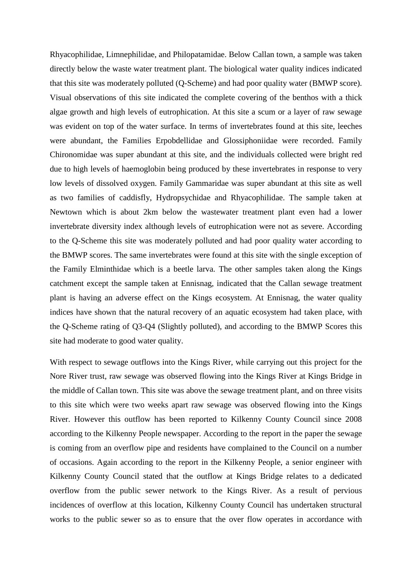Rhyacophilidae, Limnephilidae, and Philopatamidae. Below Callan town, a sample was taken directly below the waste water treatment plant. The biological water quality indices indicated that this site was moderately polluted (Q-Scheme) and had poor quality water (BMWP score). Visual observations of this site indicated the complete covering of the benthos with a thick algae growth and high levels of eutrophication. At this site a scum or a layer of raw sewage was evident on top of the water surface. In terms of invertebrates found at this site, leeches were abundant, the Families Erpobdellidae and Glossiphoniidae were recorded. Family Chironomidae was super abundant at this site, and the individuals collected were bright red due to high levels of haemoglobin being produced by these invertebrates in response to very low levels of dissolved oxygen. Family Gammaridae was super abundant at this site as well as two families of caddisfly, Hydropsychidae and Rhyacophilidae. The sample taken at Newtown which is about 2km below the wastewater treatment plant even had a lower invertebrate diversity index although levels of eutrophication were not as severe. According to the Q-Scheme this site was moderately polluted and had poor quality water according to the BMWP scores. The same invertebrates were found at this site with the single exception of the Family Elminthidae which is a beetle larva. The other samples taken along the Kings catchment except the sample taken at Ennisnag, indicated that the Callan sewage treatment plant is having an adverse effect on the Kings ecosystem. At Ennisnag, the water quality indices have shown that the natural recovery of an aquatic ecosystem had taken place, with the Q-Scheme rating of Q3-Q4 (Slightly polluted), and according to the BMWP Scores this site had moderate to good water quality.

With respect to sewage outflows into the Kings River, while carrying out this project for the Nore River trust, raw sewage was observed flowing into the Kings River at Kings Bridge in the middle of Callan town. This site was above the sewage treatment plant, and on three visits to this site which were two weeks apart raw sewage was observed flowing into the Kings River. However this outflow has been reported to Kilkenny County Council since 2008 according to the Kilkenny People newspaper. According to the report in the paper the sewage is coming from an overflow pipe and residents have complained to the Council on a number of occasions. Again according to the report in the Kilkenny People, a senior engineer with Kilkenny County Council stated that the outflow at Kings Bridge relates to a dedicated overflow from the public sewer network to the Kings River. As a result of pervious incidences of overflow at this location, Kilkenny County Council has undertaken structural works to the public sewer so as to ensure that the over flow operates in accordance with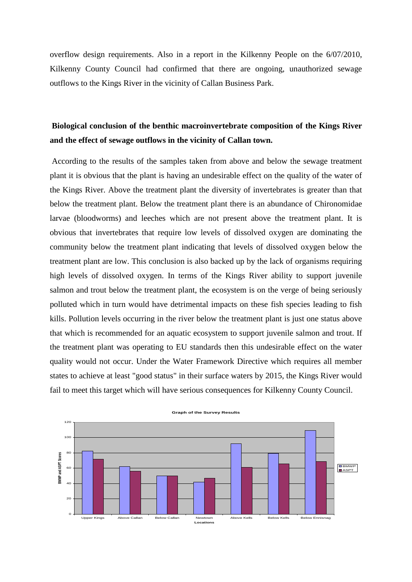overflow design requirements. Also in a report in the Kilkenny People on the 6/07/2010, Kilkenny County Council had confirmed that there are ongoing, unauthorized sewage outflows to the Kings River in the vicinity of Callan Business Park.

# **Biological conclusion of the benthic macroinvertebrate composition of the Kings River and the effect of sewage outflows in the vicinity of Callan town.**

According to the results of the samples taken from above and below the sewage treatment plant it is obvious that the plant is having an undesirable effect on the quality of the water of the Kings River. Above the treatment plant the diversity of invertebrates is greater than that below the treatment plant. Below the treatment plant there is an abundance of Chironomidae larvae (bloodworms) and leeches which are not present above the treatment plant. It is obvious that invertebrates that require low levels of dissolved oxygen are dominating the community below the treatment plant indicating that levels of dissolved oxygen below the treatment plant are low. This conclusion is also backed up by the lack of organisms requiring high levels of dissolved oxygen. In terms of the Kings River ability to support juvenile salmon and trout below the treatment plant, the ecosystem is on the verge of being seriously polluted which in turn would have detrimental impacts on these fish species leading to fish kills. Pollution levels occurring in the river below the treatment plant is just one status above that which is recommended for an aquatic ecosystem to support juvenile salmon and trout. If the treatment plant was operating to EU standards then this undesirable effect on the water quality would not occur. Under the Water Framework Directive which requires all member states to achieve at least "good status" in their surface waters by 2015, the Kings River would fail to meet this target which will have serious consequences for Kilkenny County Council.